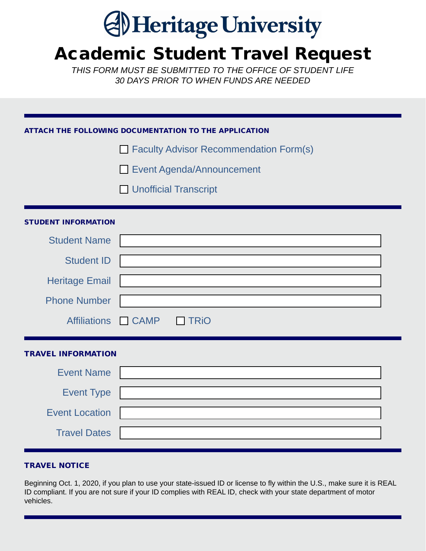# **Al Heritage University**

# Academic Student Travel Request

*THIS FORM MUST BE SUBMITTED TO THE OFFICE OF STUDENT LIFE 30 DAYS PRIOR TO WHEN FUNDS ARE NEEDED*

## ATTACH THE FOLLOWING DOCUMENTATION TO THE APPLICATION

 $\Box$  Faculty Advisor Recommendation Form(s)

Event Agenda/Announcement

**Unofficial Transcript** 

### STUDENT INFORMATION

| <b>Student Name</b>   |             |
|-----------------------|-------------|
| <b>Student ID</b>     |             |
| <b>Heritage Email</b> |             |
| <b>Phone Number</b>   |             |
| Affiliations CAMP     | $\Box$ TRiO |

### TRAVEL INFORMATION

| <b>Event Name</b>     |  |
|-----------------------|--|
| <b>Event Type</b>     |  |
| <b>Event Location</b> |  |
| <b>Travel Dates</b>   |  |

### TRAVEL NOTICE

Beginning Oct. 1, 2020, if you plan to use your state-issued ID or license to fly within the U.S., make sure it is REAL ID compliant. If you are not sure if your ID complies with REAL ID, check with your state department of motor vehicles.